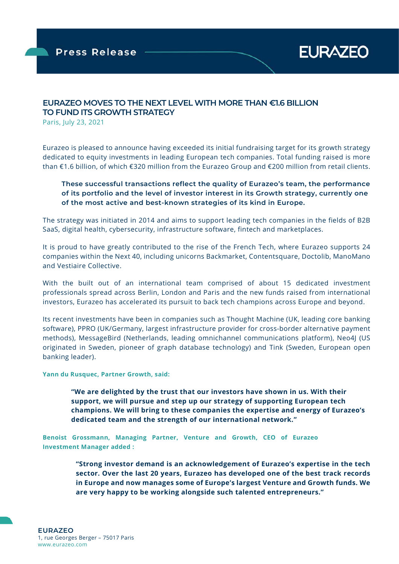

## **EURAZEO MOVES TO THE NEXT LEVEL WITH MORE THAN €1.6 BILLION TO FUND ITS GROWTH STRATEGY**

Paris, July 23, 2021

Eurazeo is pleased to announce having exceeded its initial fundraising target for its growth strategy dedicated to equity investments in leading European tech companies. Total funding raised is more than €1.6 billion, of which €320 million from the Eurazeo Group and €200 million from retail clients.

### **These successful transactions reflect the quality of Eurazeo's team, the performance of its portfolio and the level of investor interest in its Growth strategy, currently one of the most active and best-known strategies of its kind in Europe.**

The strategy was initiated in 2014 and aims to support leading tech companies in the fields of B2B SaaS, digital health, cybersecurity, infrastructure software, fintech and marketplaces.

It is proud to have greatly contributed to the rise of the French Tech, where Eurazeo supports 24 companies within the Next 40, including unicorns Backmarket, Contentsquare, Doctolib, ManoMano and Vestiaire Collective.

With the built out of an international team comprised of about 15 dedicated investment professionals spread across Berlin, London and Paris and the new funds raised from international investors, Eurazeo has accelerated its pursuit to back tech champions across Europe and beyond.

Its recent investments have been in companies such as Thought Machine (UK, leading core banking software), PPRO (UK/Germany, largest infrastructure provider for cross-border alternative payment methods), MessageBird (Netherlands, leading omnichannel communications platform), Neo4J (US originated in Sweden, pioneer of graph database technology) and Tink (Sweden, European open banking leader).

**Yann du Rusquec, Partner Growth, said:** 

**"We are delighted by the trust that our investors have shown in us. With their support, we will pursue and step up our strategy of supporting European tech champions. We will bring to these companies the expertise and energy of Eurazeo's dedicated team and the strength of our international network."** 

**Benoist Grossmann, Managing Partner, Venture and Growth, CEO of Eurazeo Investment Manager added :** 

> **"Strong investor demand is an acknowledgement of Eurazeo's expertise in the tech sector. Over the last 20 years, Eurazeo has developed one of the best track records in Europe and now manages some of Europe's largest Venture and Growth funds. We are very happy to be working alongside such talented entrepreneurs."**